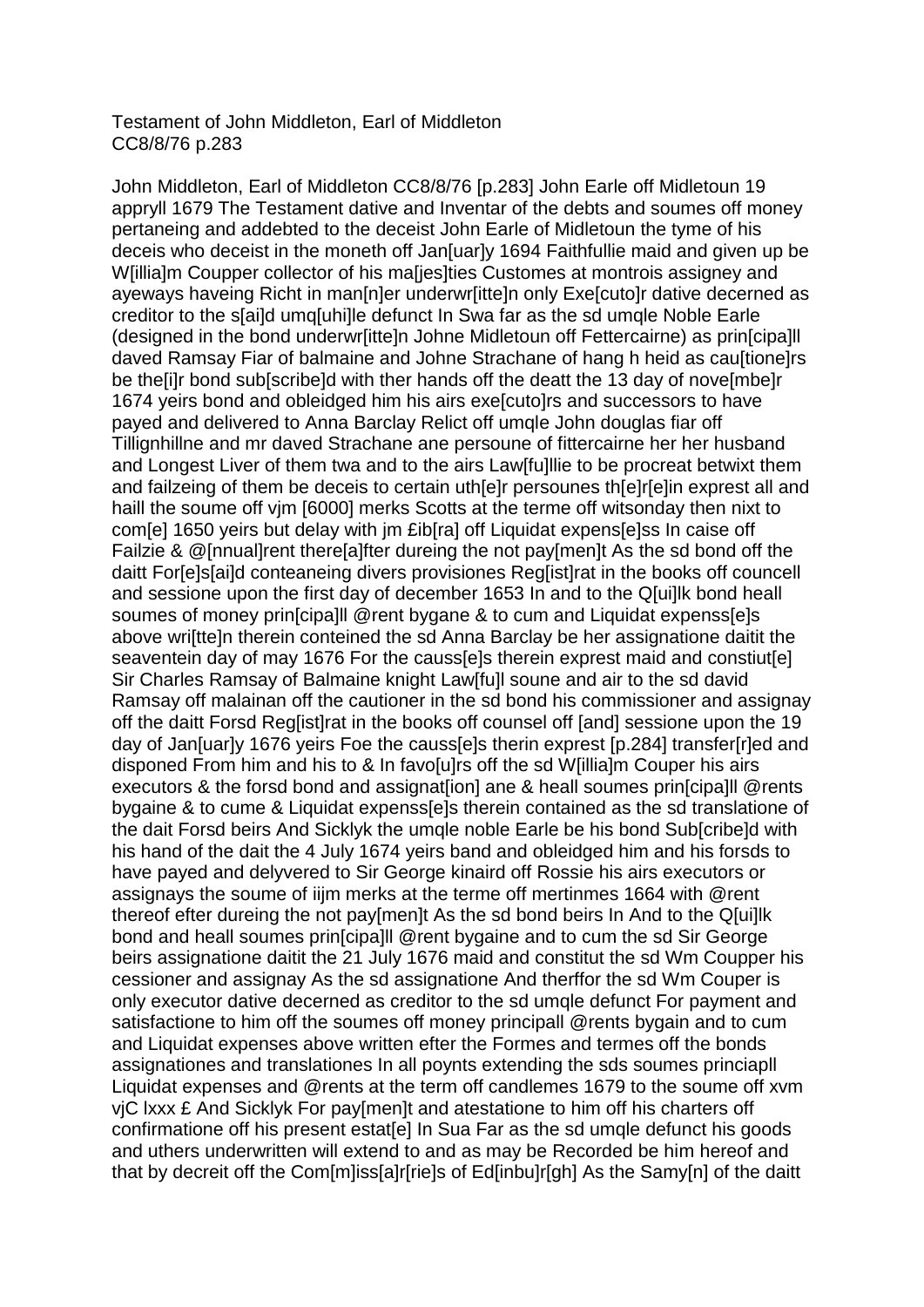## Testament of John Middleton, Earl of Middleton CC8/8/76 p.283

John Middleton, Earl of Middleton CC8/8/76 [p.283] John Earle off Midletoun 19 appryll 1679 The Testament dative and Inventar of the debts and soumes off money pertaneing and addebted to the deceist John Earle of Midletoun the tyme of his deceis who deceist in the moneth off Jan[uar]y 1694 Faithfullie maid and given up be W[illia]m Coupper collector of his ma[jes]ties Customes at montrois assigney and ayeways haveing Richt in man[n]er underwr[itte]n only Exe[cuto]r dative decerned as creditor to the s[ai]d umq[uhi]le defunct In Swa far as the sd umqle Noble Earle (designed in the bond underwr[itte]n Johne Midletoun off Fettercairne) as prin[cipa]ll daved Ramsay Fiar of balmaine and Johne Strachane of hang h heid as cau[tione]rs be the[i]r bond sub[scribe]d with ther hands off the deatt the 13 day of nove[mbe]r 1674 yeirs bond and obleidged him his airs exe[cuto]rs and successors to have payed and delivered to Anna Barclay Relict off umqle John douglas fiar off Tillignhillne and mr daved Strachane ane persoune of fittercairne her her husband and Longest Liver of them twa and to the airs Law[fu]llie to be procreat betwixt them and failzeing of them be deceis to certain uth[e]r persounes th[e]r[e]in exprest all and haill the soume off vjm [6000] merks Scotts at the terme off witsonday then nixt to com[e] 1650 yeirs but delay with jm £ib[ra] off Liquidat expens[e]ss In caise off Failzie & @[nnual]rent there[a]fter dureing the not pay[men]t As the sd bond off the daitt For[e]s[ai]d conteaneing divers provisiones Reg[ist]rat in the books off councell and sessione upon the first day of december 1653 In and to the Q[ui]lk bond heall soumes of money prin[cipa]ll @rent bygane & to cum and Liquidat expenss[e]s above wri[tte]n therein conteined the sd Anna Barclay be her assignatione daitit the seaventein day of may 1676 For the causs[e]s therein exprest maid and constiut[e] Sir Charles Ramsay of Balmaine knight Law[fu]l soune and air to the sd david Ramsay off malainan off the cautioner in the sd bond his commissioner and assignay off the daitt Forsd Reg[ist]rat in the books off counsel off [and] sessione upon the 19 day of Jan[uar]y 1676 yeirs Foe the causs[e]s therin exprest [p.284] transfer[r]ed and disponed From him and his to & In favo[u]rs off the sd W[illia]m Couper his airs executors & the forsd bond and assignat[ion] ane & heall soumes prin[cipa]ll @rents bygaine & to cume & Liquidat expenss[e]s therein contained as the sd translatione of the dait Forsd beirs And Sicklyk the umqle noble Earle be his bond Sub[cribe]d with his hand of the dait the 4 July 1674 yeirs band and obleidged him and his forsds to have payed and delyvered to Sir George kinaird off Rossie his airs executors or assignays the soume of iijm merks at the terme off mertinmes 1664 with @rent thereof efter dureing the not pay[men]t As the sd bond beirs In And to the Q[ui]lk bond and heall soumes prin[cipa]ll @rent bygaine and to cum the sd Sir George beirs assignatione daitit the 21 July 1676 maid and constitut the sd Wm Coupper his cessioner and assignay As the sd assignatione And therffor the sd Wm Couper is only executor dative decerned as creditor to the sd umqle defunct For payment and satisfactione to him off the soumes off money principall @rents bygain and to cum and Liquidat expenses above written efter the Formes and termes off the bonds assignationes and translationes In all poynts extending the sds soumes princiapll Liquidat expenses and @rents at the term off candlemes 1679 to the soume off xvm vjC lxxx £ And Sicklyk For pay[men]t and atestatione to him off his charters off confirmatione off his present estat[e] In Sua Far as the sd umqle defunct his goods and uthers underwritten will extend to and as may be Recorded be him hereof and that by decreit off the Com[m]iss[a]r[rie]s of Ed[inbu]r[gh] As the Samy[n] of the daitt